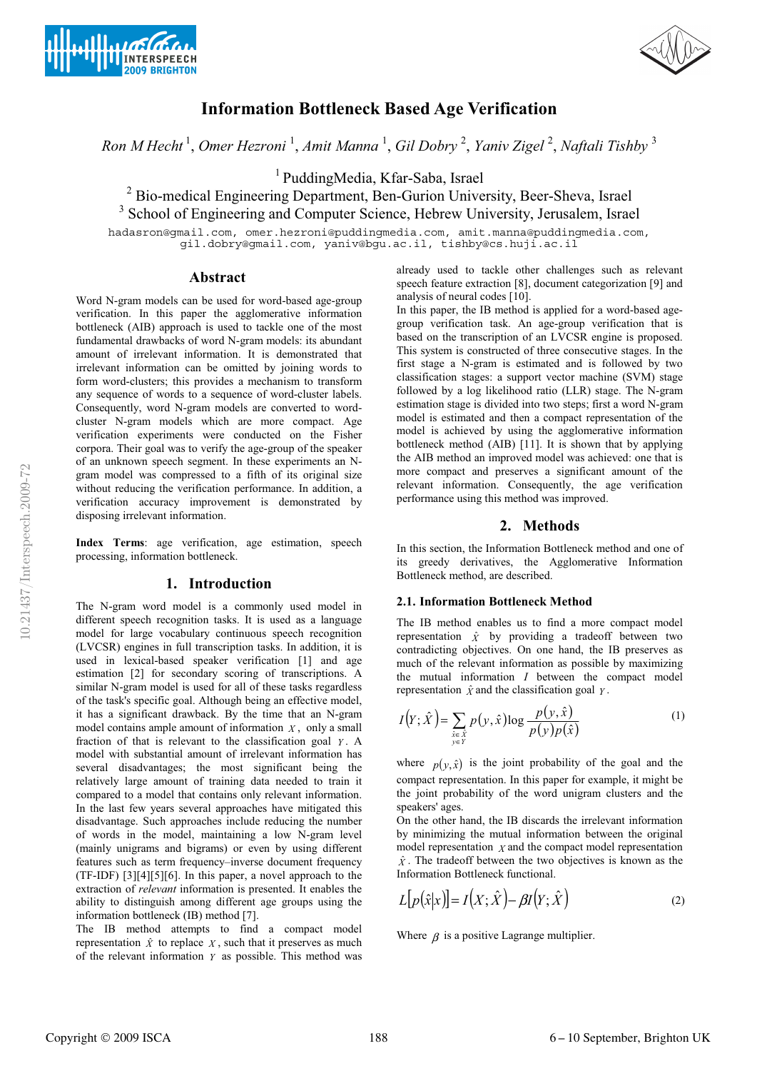



# **Information Bottleneck Based Age Verification**

*Ron M Hecht* <sup>1</sup> , *Omer Hezroni* <sup>1</sup> , *Amit Manna* <sup>1</sup> , *Gil Dobry* <sup>2</sup> , *Yaniv Zigel* <sup>2</sup> , *Naftali Tishby* <sup>3</sup>

1 PuddingMedia, Kfar-Saba, Israel

<sup>2</sup> Bio-medical Engineering Department, Ben-Gurion University, Beer-Sheva, Israel

<sup>3</sup> School of Engineering and Computer Science, Hebrew University, Jerusalem, Israel

hadasron@gmail.com, omer.hezroni@puddingmedia.com, amit.manna@puddingmedia.com, gil.dobry@gmail.com, yaniv@bgu.ac.il, tishby@cs.huji.ac.il

# **Abstract**

Word N-gram models can be used for word-based age-group verification. In this paper the agglomerative information bottleneck (AIB) approach is used to tackle one of the most fundamental drawbacks of word N-gram models: its abundant amount of irrelevant information. It is demonstrated that irrelevant information can be omitted by joining words to form word-clusters; this provides a mechanism to transform any sequence of words to a sequence of word-cluster labels. Consequently, word N-gram models are converted to wordcluster N-gram models which are more compact. Age verification experiments were conducted on the Fisher corpora. Their goal was to verify the age-group of the speaker of an unknown speech segment. In these experiments an Ngram model was compressed to a fifth of its original size without reducing the verification performance. In addition, a verification accuracy improvement is demonstrated by disposing irrelevant information.

**Index Terms**: age verification, age estimation, speech processing, information bottleneck.

# **1. Introduction**

The N-gram word model is a commonly used model in different speech recognition tasks. It is used as a language model for large vocabulary continuous speech recognition (LVCSR) engines in full transcription tasks. In addition, it is used in lexical-based speaker verification [1] and age estimation [2] for secondary scoring of transcriptions. A similar N-gram model is used for all of these tasks regardless of the task's specific goal. Although being an effective model, it has a significant drawback. By the time that an N-gram model contains ample amount of information  $X$ , only a small fraction of that is relevant to the classification goal *Y* . A model with substantial amount of irrelevant information has several disadvantages; the most significant being the relatively large amount of training data needed to train it compared to a model that contains only relevant information. In the last few years several approaches have mitigated this disadvantage. Such approaches include reducing the number of words in the model, maintaining a low N-gram level (mainly unigrams and bigrams) or even by using different features such as term frequency–inverse document frequency (TF-IDF) [3][4][5][6]. In this paper, a novel approach to the extraction of *relevant* information is presented. It enables the ability to distinguish among different age groups using the information bottleneck (IB) method [7].

The IB method attempts to find a compact model representation  $\hat{X}$  to replace *X*, such that it preserves as much of the relevant information *Y* as possible. This method was already used to tackle other challenges such as relevant speech feature extraction [8], document categorization [9] and analysis of neural codes [10].

In this paper, the IB method is applied for a word-based agegroup verification task. An age-group verification that is based on the transcription of an LVCSR engine is proposed. This system is constructed of three consecutive stages. In the first stage a N-gram is estimated and is followed by two classification stages: a support vector machine (SVM) stage followed by a log likelihood ratio (LLR) stage. The N-gram estimation stage is divided into two steps; first a word N-gram model is estimated and then a compact representation of the model is achieved by using the agglomerative information bottleneck method (AIB) [11]. It is shown that by applying the AIB method an improved model was achieved: one that is more compact and preserves a significant amount of the relevant information. Consequently, the age verification performance using this method was improved.

# **2. Methods**

In this section, the Information Bottleneck method and one of its greedy derivatives, the Agglomerative Information Bottleneck method, are described.

### **2.1. Information Bottleneck Method**

The IB method enables us to find a more compact model representation  $\hat{X}$  by providing a tradeoff between two contradicting objectives. On one hand, the IB preserves as much of the relevant information as possible by maximizing the mutual information *I* between the compact model representation  $\hat{X}$  and the classification goal  $\hat{Y}$ .

$$
I(Y; \hat{X}) = \sum_{\substack{\hat{x} \in \hat{X} \\ y \in Y}} p(y, \hat{x}) \log \frac{p(y, \hat{x})}{p(y)p(\hat{x})}
$$
(1)

where  $p(y, \hat{x})$  is the joint probability of the goal and the compact representation. In this paper for example, it might be the joint probability of the word unigram clusters and the speakers' ages.

On the other hand, the IB discards the irrelevant information by minimizing the mutual information between the original model representation *x* and the compact model representation  $\hat{X}$ . The tradeoff between the two objectives is known as the Information Bottleneck functional.

$$
L[p(\hat{x}|x)] = I(X; \hat{X}) - \beta I(Y; \hat{X})
$$
\n(2)

Where  $\beta$  is a positive Lagrange multiplier.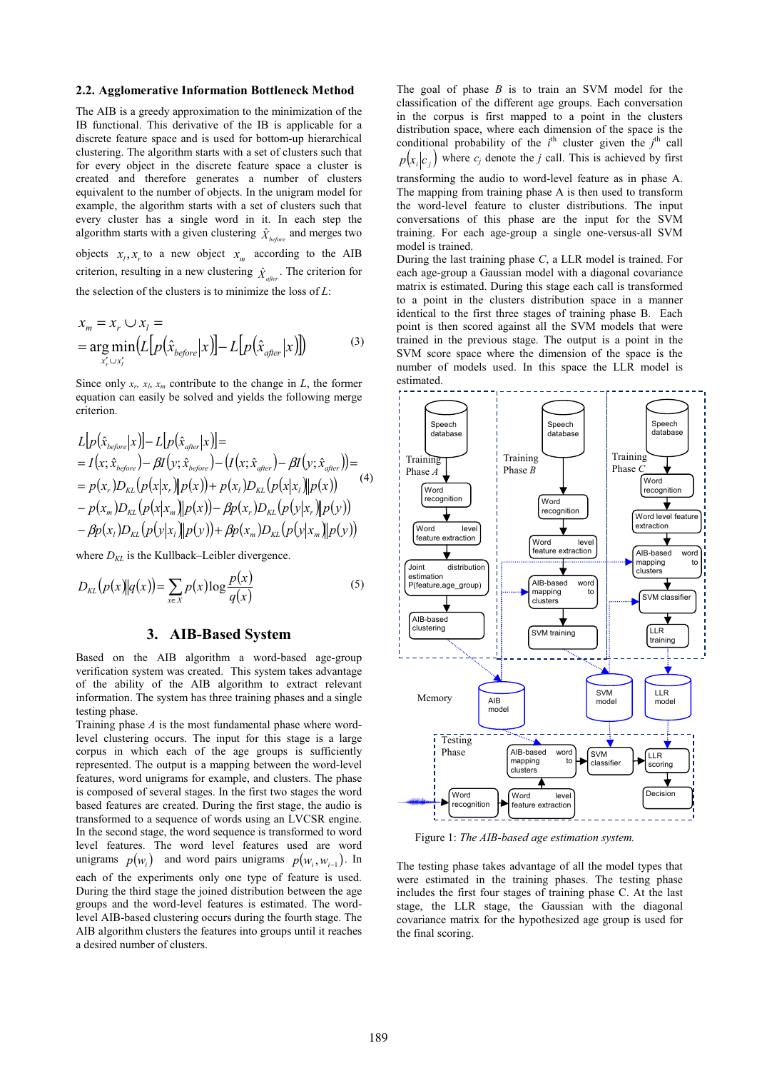#### **2.2. Agglomerative Information Bottleneck Method**

The AIB is a greedy approximation to the minimization of the IB functional. This derivative of the IB is applicable for a discrete feature space and is used for bottom-up hierarchical clustering. The algorithm starts with a set of clusters such that for every object in the discrete feature space a cluster is created and therefore generates a number of clusters equivalent to the number of objects. In the unigram model for example, the algorithm starts with a set of clusters such that every cluster has a single word in it. In each step the algorithm starts with a given clustering  $\hat{X}_{before}$  and merges two objects  $x_l$ ,  $x_r$  to a new object  $x_m$  according to the AIB criterion, resulting in a new clustering  $\hat{X}_{\text{after}}$ . The criterion for the selection of the clusters is to minimize the loss of *L*:

$$
x_m = x_r \cup x_l =
$$
  
= arg min $(L[p(\hat{x}_{before}|x)] - L[p(\hat{x}_{after}|x)])$  (3)

Since only  $x_r$ ,  $x_l$ ,  $x_m$  contribute to the change in *L*, the former equation can easily be solved and yields the following merge criterion.

$$
L[p(\hat{x}_{before}|x)] - L[p(\hat{x}_{after}|x)] =
$$
  
=  $I(x; \hat{x}_{before}) - \beta I(y; \hat{x}_{before}) - (I(x; \hat{x}_{after}) - \beta I(y; \hat{x}_{after})) =$   
=  $p(x, D_{KL}(p(x|x, ||p(x)) + p(x,)D_{KL}(p(x|x, ||p(x)))$   
-  $p(x_m)D_{KL}(p(x|x_m)||p(x)) - \beta p(x,)D_{KL}(p(y|x, ||p(y)))$   
-  $\beta p(x,)D_{KL}(p(y|x, ||p(y)) + \beta p(x_m)D_{KL}(p(y|x_m)||p(y))$ 

where  $D_{KL}$  is the Kullback–Leibler divergence.

$$
D_{KL}\big(p(x)\|q(x)\big) = \sum_{x \in X} p(x) \log \frac{p(x)}{q(x)}\tag{5}
$$

#### **3. AIB-Based System**

Based on the AIB algorithm a word-based age-group verification system was created. This system takes advantage of the ability of the AIB algorithm to extract relevant information. The system has three training phases and a single testing phase.

Training phase *A* is the most fundamental phase where wordlevel clustering occurs. The input for this stage is a large corpus in which each of the age groups is sufficiently represented. The output is a mapping between the word-level features, word unigrams for example, and clusters. The phase is composed of several stages. In the first two stages the word based features are created. During the first stage, the audio is transformed to a sequence of words using an LVCSR engine. In the second stage, the word sequence is transformed to word level features. The word level features used are word unigrams  $p(w_i)$  and word pairs unigrams  $p(w_i, w_{i-1})$ . In each of the experiments only one type of feature is used. During the third stage the joined distribution between the age groups and the word-level features is estimated. The wordlevel AIB-based clustering occurs during the fourth stage. The AIB algorithm clusters the features into groups until it reaches a desired number of clusters.

The goal of phase *B* is to train an SVM model for the classification of the different age groups. Each conversation in the corpus is first mapped to a point in the clusters distribution space, where each dimension of the space is the conditional probability of the  $i^{\text{th}}$  cluster given the  $j^{\text{th}}$  call  $p(x_i|c_i)$  where  $c_j$  denote the *j* call. This is achieved by first

transforming the audio to word-level feature as in phase A. The mapping from training phase A is then used to transform the word-level feature to cluster distributions. The input conversations of this phase are the input for the SVM training. For each age-group a single one-versus-all SVM model is trained.

During the last training phase *C*, a LLR model is trained. For each age-group a Gaussian model with a diagonal covariance matrix is estimated. During this stage each call is transformed to a point in the clusters distribution space in a manner identical to the first three stages of training phase B. Each point is then scored against all the SVM models that were trained in the previous stage. The output is a point in the SVM score space where the dimension of the space is the number of models used. In this space the LLR model is estimated.



Figure 1: *The AIB-based age estimation system.*

The testing phase takes advantage of all the model types that were estimated in the training phases. The testing phase includes the first four stages of training phase C. At the last stage, the LLR stage, the Gaussian with the diagonal covariance matrix for the hypothesized age group is used for the final scoring.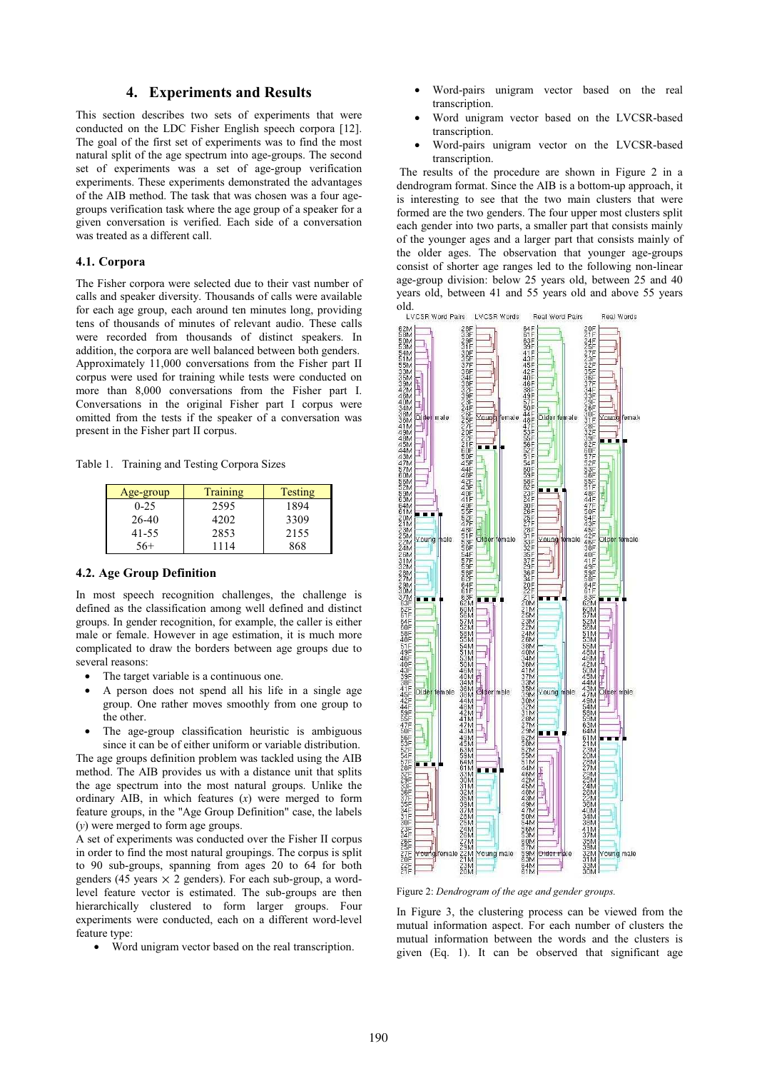# **4. Experiments and Results**

This section describes two sets of experiments that were conducted on the LDC Fisher English speech corpora [12]. The goal of the first set of experiments was to find the most natural split of the age spectrum into age-groups. The second set of experiments was a set of age-group verification experiments. These experiments demonstrated the advantages of the AIB method. The task that was chosen was a four agegroups verification task where the age group of a speaker for a given conversation is verified. Each side of a conversation was treated as a different call.

## **4.1. Corpora**

The Fisher corpora were selected due to their vast number of calls and speaker diversity. Thousands of calls were available for each age group, each around ten minutes long, providing tens of thousands of minutes of relevant audio. These calls were recorded from thousands of distinct speakers. In addition, the corpora are well balanced between both genders. Approximately 11,000 conversations from the Fisher part II corpus were used for training while tests were conducted on more than 8,000 conversations from the Fisher part I. Conversations in the original Fisher part I corpus were omitted from the tests if the speaker of a conversation was present in the Fisher part II corpus.

Table 1. Training and Testing Corpora Sizes

| Age-group | Training | Testing |
|-----------|----------|---------|
| $0 - 25$  | 2595     | 1894    |
| 26-40     | 42.02    | 3309    |
| 41-55     | 2853     | 2155    |
| $56+$     | 1114     | 868     |

#### **4.2. Age Group Definition**

In most speech recognition challenges, the challenge is defined as the classification among well defined and distinct groups. In gender recognition, for example, the caller is either male or female. However in age estimation, it is much more complicated to draw the borders between age groups due to several reasons:

- The target variable is a continuous one.
- A person does not spend all his life in a single age group. One rather moves smoothly from one group to the other.
- The age-group classification heuristic is ambiguous since it can be of either uniform or variable distribution.

The age groups definition problem was tackled using the AIB method. The AIB provides us with a distance unit that splits the age spectrum into the most natural groups. Unlike the ordinary AIB, in which features  $(x)$  were merged to form feature groups, in the "Age Group Definition" case, the labels (*y*) were merged to form age groups.

A set of experiments was conducted over the Fisher II corpus in order to find the most natural groupings. The corpus is split to 90 sub-groups, spanning from ages 20 to 64 for both genders (45 years  $\times$  2 genders). For each sub-group, a wordlevel feature vector is estimated. The sub-groups are then hierarchically clustered to form larger groups. Four experiments were conducted, each on a different word-level feature type:

• Word unigram vector based on the real transcription.

- Word-pairs unigram vector based on the real transcription.
- Word unigram vector based on the LVCSR-based transcription.
- Word-pairs unigram vector on the LVCSR-based transcription.

 The results of the procedure are shown in Figure 2 in a dendrogram format. Since the AIB is a bottom-up approach, it is interesting to see that the two main clusters that were formed are the two genders. The four upper most clusters split each gender into two parts, a smaller part that consists mainly of the younger ages and a larger part that consists mainly of the older ages. The observation that younger age-groups consist of shorter age ranges led to the following non-linear age-group division: below 25 years old, between 25 and 40 years old, between 41 and 55 years old and above 55 years



Figure 2: *Dendrogram of the age and gender groups.* 

In Figure 3, the clustering process can be viewed from the mutual information aspect. For each number of clusters the mutual information between the words and the clusters is given (Eq. 1). It can be observed that significant age